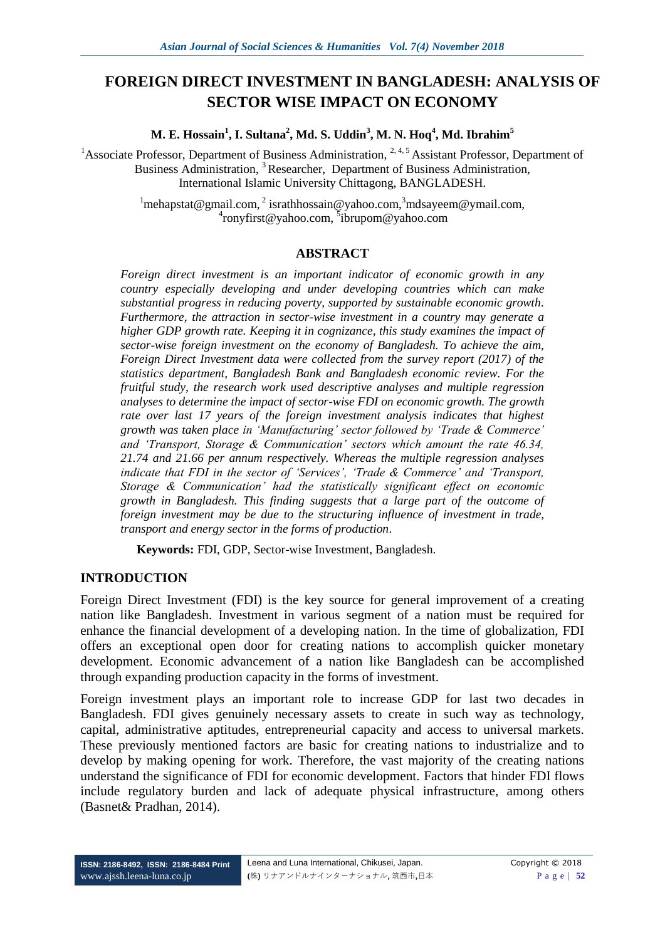# **FOREIGN DIRECT INVESTMENT IN BANGLADESH: ANALYSIS OF SECTOR WISE IMPACT ON ECONOMY**

**M. E. Hossain<sup>1</sup> , I. Sultana<sup>2</sup> , Md. S. Uddin<sup>3</sup> , M. N. Hoq<sup>4</sup> , Md. Ibrahim<sup>5</sup>**

<sup>1</sup>Associate Professor, Department of Business Administration,  $2, 4, 5$  Assistant Professor, Department of Business Administration, <sup>3</sup>Researcher, Department of Business Administration, International Islamic University Chittagong, BANGLADESH.

> $1$ [mehapstat@gmail.com,](mailto:mehapstat@gmail.com)  $2$  israthhossain@yahoo.com,  $3$ [mdsayeem@ymail.com,](mailto:mdsayeem@ymail.com) 4 [ronyfirst@yahoo.com,](mailto:ronyfirst@yahoo.com) 5 [ibrupom@yahoo.com](mailto:5ibrupom@yahoo.com)

### **ABSTRACT**

*Foreign direct investment is an important indicator of economic growth in any country especially developing and under developing countries which can make substantial progress in reducing poverty, supported by sustainable economic growth. Furthermore, the attraction in sector-wise investment in a country may generate a higher GDP growth rate. Keeping it in cognizance, this study examines the impact of sector-wise foreign investment on the economy of Bangladesh. To achieve the aim, Foreign Direct Investment data were collected from the survey report (2017) of the statistics department, Bangladesh Bank and Bangladesh economic review. For the fruitful study, the research work used descriptive analyses and multiple regression analyses to determine the impact of sector-wise FDI on economic growth. The growth rate over last 17 years of the foreign investment analysis indicates that highest growth was taken place in 'Manufacturing' sector followed by 'Trade & Commerce' and 'Transport, Storage & Communication' sectors which amount the rate 46.34, 21.74 and 21.66 per annum respectively. Whereas the multiple regression analyses indicate that FDI in the sector of 'Services', 'Trade & Commerce' and 'Transport, Storage & Communication' had the statistically significant effect on economic growth in Bangladesh. This finding suggests that a large part of the outcome of*  foreign investment may be due to the structuring influence of investment in trade, *transport and energy sector in the forms of production*.

**Keywords:** FDI, GDP, Sector-wise Investment, Bangladesh.

### **INTRODUCTION**

Foreign Direct Investment (FDI) is the key source for general improvement of a creating nation like Bangladesh. Investment in various segment of a nation must be required for enhance the financial development of a developing nation. In the time of globalization, FDI offers an exceptional open door for creating nations to accomplish quicker monetary development. Economic advancement of a nation like Bangladesh can be accomplished through expanding production capacity in the forms of investment.

Foreign investment plays an important role to increase GDP for last two decades in Bangladesh. FDI gives genuinely necessary assets to create in such way as technology, capital, administrative aptitudes, entrepreneurial capacity and access to universal markets. These previously mentioned factors are basic for creating nations to industrialize and to develop by making opening for work. Therefore, the vast majority of the creating nations understand the significance of FDI for economic development. Factors that hinder FDI flows include regulatory burden and lack of adequate physical infrastructure, among others (Basnet& Pradhan, 2014).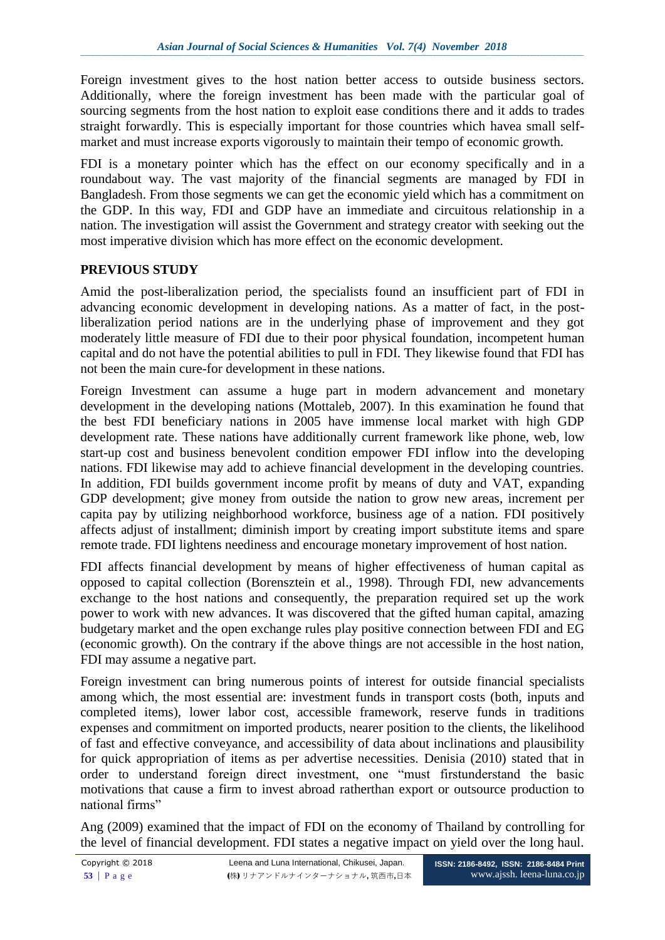Foreign investment gives to the host nation better access to outside business sectors. Additionally, where the foreign investment has been made with the particular goal of sourcing segments from the host nation to exploit ease conditions there and it adds to trades straight forwardly. This is especially important for those countries which havea small selfmarket and must increase exports vigorously to maintain their tempo of economic growth.

FDI is a monetary pointer which has the effect on our economy specifically and in a roundabout way. The vast majority of the financial segments are managed by FDI in Bangladesh. From those segments we can get the economic yield which has a commitment on the GDP. In this way, FDI and GDP have an immediate and circuitous relationship in a nation. The investigation will assist the Government and strategy creator with seeking out the most imperative division which has more effect on the economic development.

### **PREVIOUS STUDY**

Amid the post-liberalization period, the specialists found an insufficient part of FDI in advancing economic development in developing nations. As a matter of fact, in the postliberalization period nations are in the underlying phase of improvement and they got moderately little measure of FDI due to their poor physical foundation, incompetent human capital and do not have the potential abilities to pull in FDI. They likewise found that FDI has not been the main cure-for development in these nations.

Foreign Investment can assume a huge part in modern advancement and monetary development in the developing nations (Mottaleb, 2007). In this examination he found that the best FDI beneficiary nations in 2005 have immense local market with high GDP development rate. These nations have additionally current framework like phone, web, low start-up cost and business benevolent condition empower FDI inflow into the developing nations. FDI likewise may add to achieve financial development in the developing countries. In addition, FDI builds government income profit by means of duty and VAT, expanding GDP development; give money from outside the nation to grow new areas, increment per capita pay by utilizing neighborhood workforce, business age of a nation. FDI positively affects adjust of installment; diminish import by creating import substitute items and spare remote trade. FDI lightens neediness and encourage monetary improvement of host nation.

FDI affects financial development by means of higher effectiveness of human capital as opposed to capital collection (Borensztein et al., 1998). Through FDI, new advancements exchange to the host nations and consequently, the preparation required set up the work power to work with new advances. It was discovered that the gifted human capital, amazing budgetary market and the open exchange rules play positive connection between FDI and EG (economic growth). On the contrary if the above things are not accessible in the host nation, FDI may assume a negative part.

Foreign investment can bring numerous points of interest for outside financial specialists among which, the most essential are: investment funds in transport costs (both, inputs and completed items), lower labor cost, accessible framework, reserve funds in traditions expenses and commitment on imported products, nearer position to the clients, the likelihood of fast and effective conveyance, and accessibility of data about inclinations and plausibility for quick appropriation of items as per advertise necessities. Denisia (2010) stated that in order to understand foreign direct investment, one "must firstunderstand the basic motivations that cause a firm to invest abroad ratherthan export or outsource production to national firms"

Ang (2009) examined that the impact of FDI on the economy of Thailand by controlling for the level of financial development. FDI states a negative impact on yield over the long haul.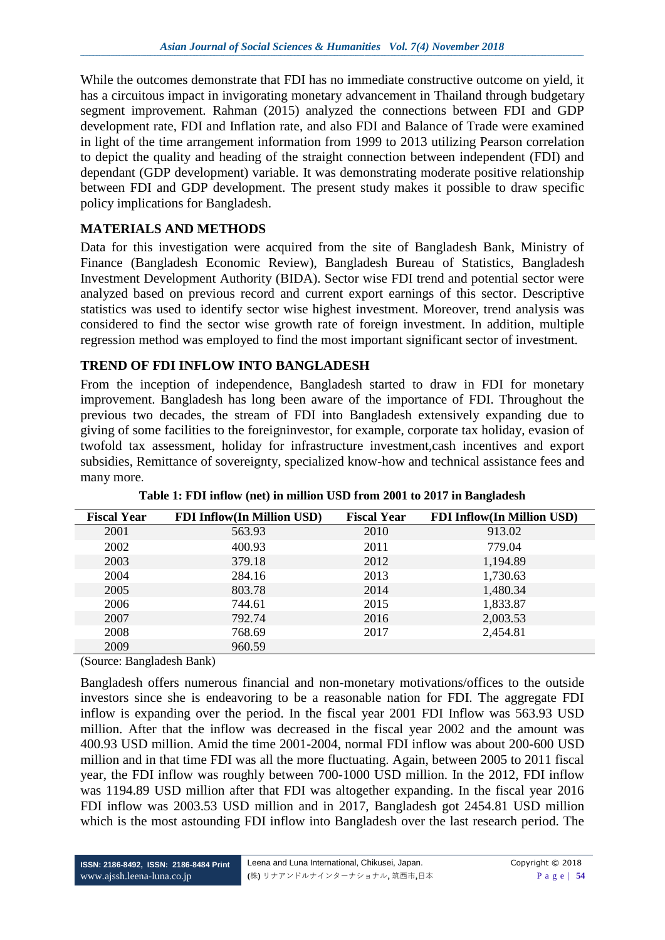While the outcomes demonstrate that FDI has no immediate constructive outcome on yield, it has a circuitous impact in invigorating monetary advancement in Thailand through budgetary segment improvement. Rahman (2015) analyzed the connections between FDI and GDP development rate, FDI and Inflation rate, and also FDI and Balance of Trade were examined in light of the time arrangement information from 1999 to 2013 utilizing Pearson correlation to depict the quality and heading of the straight connection between independent (FDI) and dependant (GDP development) variable. It was demonstrating moderate positive relationship between FDI and GDP development. The present study makes it possible to draw specific policy implications for Bangladesh.

### **MATERIALS AND METHODS**

Data for this investigation were acquired from the site of Bangladesh Bank, Ministry of Finance (Bangladesh Economic Review), Bangladesh Bureau of Statistics, Bangladesh Investment Development Authority (BIDA). Sector wise FDI trend and potential sector were analyzed based on previous record and current export earnings of this sector. Descriptive statistics was used to identify sector wise highest investment. Moreover, trend analysis was considered to find the sector wise growth rate of foreign investment. In addition, multiple regression method was employed to find the most important significant sector of investment.

### **TREND OF FDI INFLOW INTO BANGLADESH**

From the inception of independence, Bangladesh started to draw in FDI for monetary improvement. Bangladesh has long been aware of the importance of FDI. Throughout the previous two decades, the stream of FDI into Bangladesh extensively expanding due to giving of some facilities to the foreigninvestor, for example, corporate tax holiday, evasion of twofold tax assessment, holiday for infrastructure investment,cash incentives and export subsidies, Remittance of sovereignty, specialized know-how and technical assistance fees and many more.

| <b>Fiscal Year</b> | <b>FDI Inflow(In Million USD)</b> | <b>Fiscal Year</b> | <b>FDI Inflow(In Million USD)</b> |
|--------------------|-----------------------------------|--------------------|-----------------------------------|
| 2001               | 563.93                            | 2010               | 913.02                            |
| 2002               | 400.93                            | 2011               | 779.04                            |
| 2003               | 379.18                            | 2012               | 1,194.89                          |
| 2004               | 284.16                            | 2013               | 1,730.63                          |
| 2005               | 803.78                            | 2014               | 1,480.34                          |
| 2006               | 744.61                            | 2015               | 1,833.87                          |
| 2007               | 792.74                            | 2016               | 2,003.53                          |
| 2008               | 768.69                            | 2017               | 2,454.81                          |
| 2009               | 960.59                            |                    |                                   |

**Table 1: FDI inflow (net) in million USD from 2001 to 2017 in Bangladesh**

(Source: Bangladesh Bank)

Bangladesh offers numerous financial and non-monetary motivations/offices to the outside investors since she is endeavoring to be a reasonable nation for FDI. The aggregate FDI inflow is expanding over the period. In the fiscal year 2001 FDI Inflow was 563.93 USD million. After that the inflow was decreased in the fiscal year 2002 and the amount was 400.93 USD million. Amid the time 2001-2004, normal FDI inflow was about 200-600 USD million and in that time FDI was all the more fluctuating. Again, between 2005 to 2011 fiscal year, the FDI inflow was roughly between 700-1000 USD million. In the 2012, FDI inflow was 1194.89 USD million after that FDI was altogether expanding. In the fiscal year 2016 FDI inflow was 2003.53 USD million and in 2017, Bangladesh got 2454.81 USD million which is the most astounding FDI inflow into Bangladesh over the last research period. The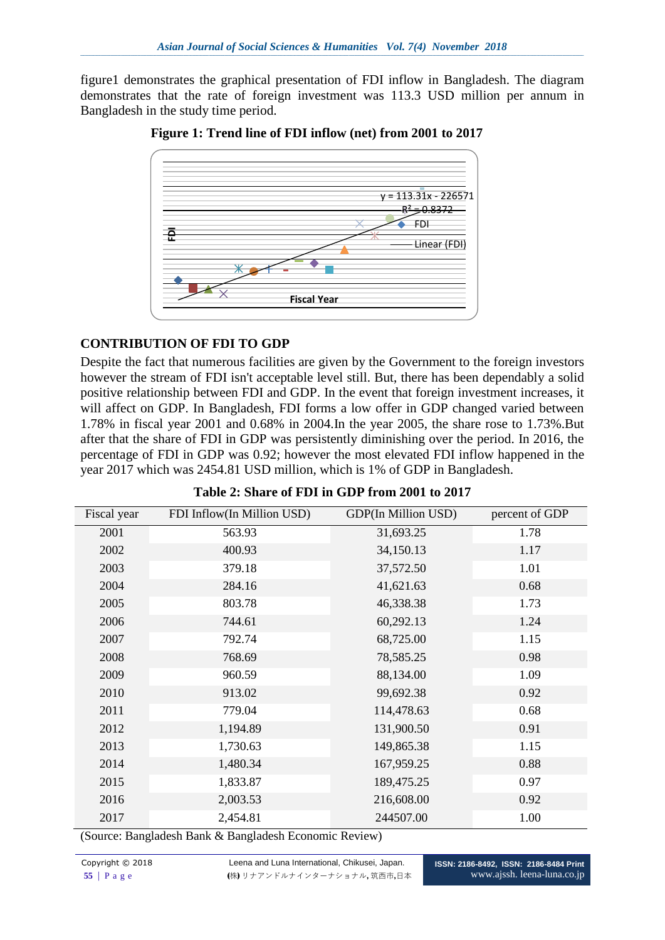figure1 demonstrates the graphical presentation of FDI inflow in Bangladesh. The diagram demonstrates that the rate of foreign investment was 113.3 USD million per annum in Bangladesh in the study time period.



 **Figure 1: Trend line of FDI inflow (net) from 2001 to 2017**

### **CONTRIBUTION OF FDI TO GDP**

Despite the fact that numerous facilities are given by the Government to the foreign investors however the stream of FDI isn't acceptable level still. But, there has been dependably a solid positive relationship between FDI and GDP. In the event that foreign investment increases, it will affect on GDP. In Bangladesh, FDI forms a low offer in GDP changed varied between 1.78% in fiscal year 2001 and 0.68% in 2004.In the year 2005, the share rose to 1.73%.But after that the share of FDI in GDP was persistently diminishing over the period. In 2016, the percentage of FDI in GDP was 0.92; however the most elevated FDI inflow happened in the year 2017 which was 2454.81 USD million, which is 1% of GDP in Bangladesh.

| Fiscal year | FDI Inflow(In Million USD) | <b>GDP(In Million USD)</b> | percent of GDP |
|-------------|----------------------------|----------------------------|----------------|
| 2001        | 563.93                     | 31,693.25                  | 1.78           |
| 2002        | 400.93                     | 34,150.13                  | 1.17           |
| 2003        | 379.18                     | 37,572.50                  | 1.01           |
| 2004        | 284.16                     | 41,621.63                  | 0.68           |
| 2005        | 803.78                     | 46,338.38                  | 1.73           |
| 2006        | 744.61                     | 60,292.13                  | 1.24           |
| 2007        | 792.74                     | 68,725.00                  | 1.15           |
| 2008        | 768.69                     | 78,585.25                  | 0.98           |
| 2009        | 960.59                     | 88,134.00                  | 1.09           |
| 2010        | 913.02                     | 99,692.38                  | 0.92           |
| 2011        | 779.04                     | 114,478.63                 | 0.68           |
| 2012        | 1,194.89                   | 131,900.50                 | 0.91           |
| 2013        | 1,730.63                   | 149,865.38                 | 1.15           |
| 2014        | 1,480.34                   | 167,959.25                 | 0.88           |
| 2015        | 1,833.87                   | 189,475.25                 | 0.97           |
| 2016        | 2,003.53                   | 216,608.00                 | 0.92           |
| 2017        | 2,454.81                   | 244507.00                  | 1.00           |

|  |  |  | Table 2: Share of FDI in GDP from 2001 to 2017 |  |  |
|--|--|--|------------------------------------------------|--|--|
|--|--|--|------------------------------------------------|--|--|

(Source: Bangladesh Bank & Bangladesh Economic Review)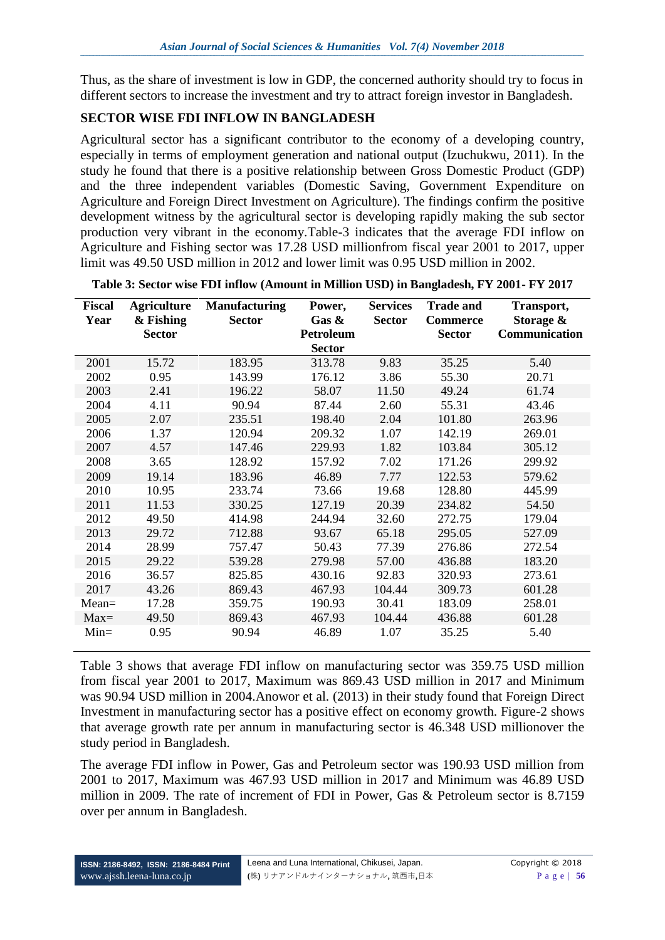Thus, as the share of investment is low in GDP, the concerned authority should try to focus in different sectors to increase the investment and try to attract foreign investor in Bangladesh.

## **SECTOR WISE FDI INFLOW IN BANGLADESH**

Agricultural sector has a significant contributor to the economy of a developing country, especially in terms of employment generation and national output (Izuchukwu, 2011). In the study he found that there is a positive relationship between Gross Domestic Product (GDP) and the three independent variables (Domestic Saving, Government Expenditure on Agriculture and Foreign Direct Investment on Agriculture). The findings confirm the positive development witness by the agricultural sector is developing rapidly making the sub sector production very vibrant in the economy.Table-3 indicates that the average FDI inflow on Agriculture and Fishing sector was 17.28 USD millionfrom fiscal year 2001 to 2017, upper limit was 49.50 USD million in 2012 and lower limit was 0.95 USD million in 2002.

| <b>Fiscal</b> | <b>Agriculture</b> | <b>Manufacturing</b> | Power,           | <b>Services</b> | <b>Trade and</b> | Transport,    |
|---------------|--------------------|----------------------|------------------|-----------------|------------------|---------------|
| Year          | & Fishing          | <b>Sector</b>        | Gas &            | <b>Sector</b>   | <b>Commerce</b>  | Storage &     |
|               | <b>Sector</b>      |                      | <b>Petroleum</b> |                 | <b>Sector</b>    | Communication |
|               |                    |                      | <b>Sector</b>    |                 |                  |               |
| 2001          | 15.72              | 183.95               | 313.78           | 9.83            | 35.25            | 5.40          |
| 2002          | 0.95               | 143.99               | 176.12           | 3.86            | 55.30            | 20.71         |
| 2003          | 2.41               | 196.22               | 58.07            | 11.50           | 49.24            | 61.74         |
| 2004          | 4.11               | 90.94                | 87.44            | 2.60            | 55.31            | 43.46         |
| 2005          | 2.07               | 235.51               | 198.40           | 2.04            | 101.80           | 263.96        |
| 2006          | 1.37               | 120.94               | 209.32           | 1.07            | 142.19           | 269.01        |
| 2007          | 4.57               | 147.46               | 229.93           | 1.82            | 103.84           | 305.12        |
| 2008          | 3.65               | 128.92               | 157.92           | 7.02            | 171.26           | 299.92        |
| 2009          | 19.14              | 183.96               | 46.89            | 7.77            | 122.53           | 579.62        |
| 2010          | 10.95              | 233.74               | 73.66            | 19.68           | 128.80           | 445.99        |
| 2011          | 11.53              | 330.25               | 127.19           | 20.39           | 234.82           | 54.50         |
| 2012          | 49.50              | 414.98               | 244.94           | 32.60           | 272.75           | 179.04        |
| 2013          | 29.72              | 712.88               | 93.67            | 65.18           | 295.05           | 527.09        |
| 2014          | 28.99              | 757.47               | 50.43            | 77.39           | 276.86           | 272.54        |
| 2015          | 29.22              | 539.28               | 279.98           | 57.00           | 436.88           | 183.20        |
| 2016          | 36.57              | 825.85               | 430.16           | 92.83           | 320.93           | 273.61        |
| 2017          | 43.26              | 869.43               | 467.93           | 104.44          | 309.73           | 601.28        |
| $Mean =$      | 17.28              | 359.75               | 190.93           | 30.41           | 183.09           | 258.01        |
| $Max=$        | 49.50              | 869.43               | 467.93           | 104.44          | 436.88           | 601.28        |
| $Min =$       | 0.95               | 90.94                | 46.89            | 1.07            | 35.25            | 5.40          |

#### **Table 3: Sector wise FDI inflow (Amount in Million USD) in Bangladesh, FY 2001- FY 2017**

Table 3 shows that average FDI inflow on manufacturing sector was 359.75 USD million from fiscal year 2001 to 2017, Maximum was 869.43 USD million in 2017 and Minimum was 90.94 USD million in 2004.Anowor et al. (2013) in their study found that Foreign Direct Investment in manufacturing sector has a positive effect on economy growth. Figure-2 shows that average growth rate per annum in manufacturing sector is 46.348 USD millionover the study period in Bangladesh.

The average FDI inflow in Power, Gas and Petroleum sector was 190.93 USD million from 2001 to 2017, Maximum was 467.93 USD million in 2017 and Minimum was 46.89 USD million in 2009. The rate of increment of FDI in Power, Gas & Petroleum sector is 8.7159 over per annum in Bangladesh.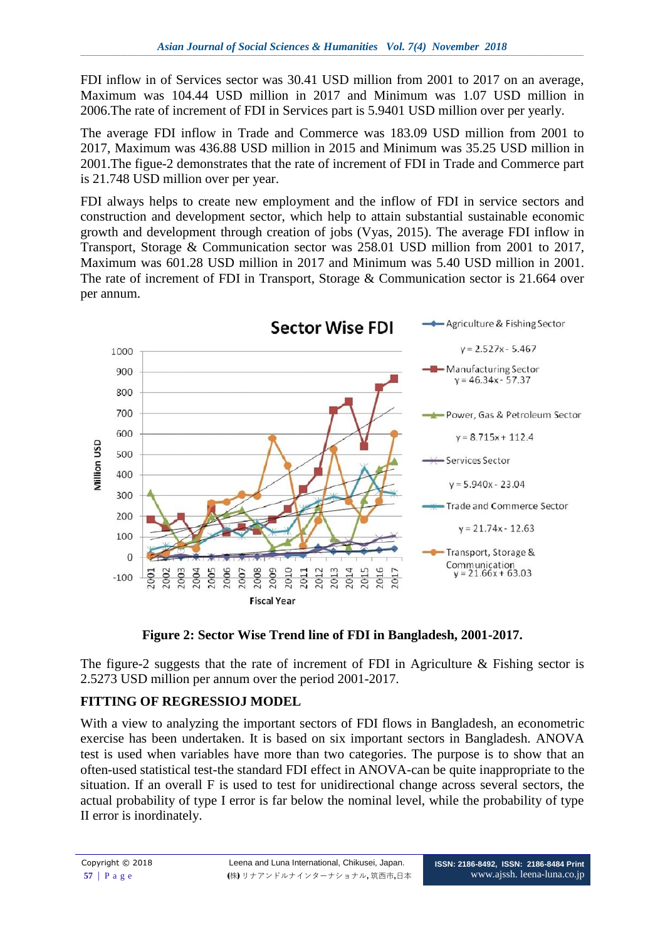FDI inflow in of Services sector was 30.41 USD million from 2001 to 2017 on an average, Maximum was 104.44 USD million in 2017 and Minimum was 1.07 USD million in 2006.The rate of increment of FDI in Services part is 5.9401 USD million over per yearly.

The average FDI inflow in Trade and Commerce was 183.09 USD million from 2001 to 2017, Maximum was 436.88 USD million in 2015 and Minimum was 35.25 USD million in 2001.The figue-2 demonstrates that the rate of increment of FDI in Trade and Commerce part is 21.748 USD million over per year.

FDI always helps to create new employment and the inflow of FDI in service sectors and construction and development sector, which help to attain substantial sustainable economic growth and development through creation of jobs (Vyas, 2015). The average FDI inflow in Transport, Storage & Communication sector was 258.01 USD million from 2001 to 2017, Maximum was 601.28 USD million in 2017 and Minimum was 5.40 USD million in 2001. The rate of increment of FDI in Transport, Storage & Communication sector is 21.664 over per annum.





The figure-2 suggests that the rate of increment of FDI in Agriculture  $\&$  Fishing sector is 2.5273 USD million per annum over the period 2001-2017.

# **FITTING OF REGRESSIOJ MODEL**

With a view to analyzing the important sectors of FDI flows in Bangladesh, an econometric exercise has been undertaken. It is based on six important sectors in Bangladesh. ANOVA test is used when variables have more than two categories. The purpose is to show that an often-used statistical test-the standard FDI effect in ANOVA-can be quite inappropriate to the situation. If an overall F is used to test for unidirectional change across several sectors, the actual probability of type I error is far below the nominal level, while the probability of type II error is inordinately.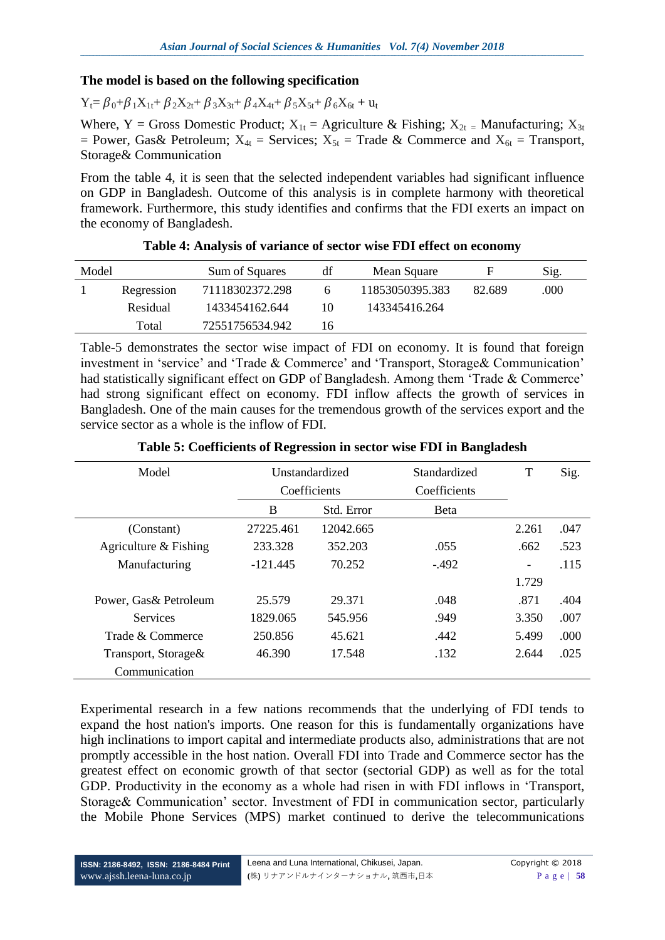### **The model is based on the following specification**

 $Y_t = \beta_0 + \beta_1 X_{1t} + \beta_2 X_{2t} + \beta_3 X_{3t} + \beta_4 X_{4t} + \beta_5 X_{5t} + \beta_6 X_{6t} + u_t$ 

Where, Y = Gross Domestic Product;  $X_{1t}$  = Agriculture & Fishing;  $X_{2t}$  = Manufacturing;  $X_{3t}$ = Power, Gas& Petroleum;  $X_{4t}$  = Services;  $X_{5t}$  = Trade & Commerce and  $X_{6t}$  = Transport, Storage& Communication

From the table 4, it is seen that the selected independent variables had significant influence on GDP in Bangladesh. Outcome of this analysis is in complete harmony with theoretical framework. Furthermore, this study identifies and confirms that the FDI exerts an impact on the economy of Bangladesh.

| Model |            | Sum of Squares  | df | Mean Square     |        | Sig. |
|-------|------------|-----------------|----|-----------------|--------|------|
|       | Regression | 71118302372.298 |    | 11853050395.383 | 82.689 | .000 |
|       | Residual   | 1433454162.644  | 10 | 143345416.264   |        |      |
|       | Total      | 72551756534.942 | 6  |                 |        |      |

#### **Table 4: Analysis of variance of sector wise FDI effect on economy**

Table-5 demonstrates the sector wise impact of FDI on economy. It is found that foreign investment in 'service' and 'Trade & Commerce' and 'Transport, Storage& Communication' had statistically significant effect on GDP of Bangladesh. Among them 'Trade & Commerce' had strong significant effect on economy. FDI inflow affects the growth of services in Bangladesh. One of the main causes for the tremendous growth of the services export and the service sector as a whole is the inflow of FDI.

| Model                   | Unstandardized |            | Standardized | T     | Sig. |
|-------------------------|----------------|------------|--------------|-------|------|
|                         | Coefficients   |            | Coefficients |       |      |
|                         | B              | Std. Error | <b>B</b> eta |       |      |
| (Constant)              | 27225.461      | 12042.665  |              | 2.261 | .047 |
| Agriculture $&$ Fishing | 233.328        | 352.203    | .055         | .662  | .523 |
| Manufacturing           | $-121.445$     | 70.252     | $-492$       |       | .115 |
|                         |                |            |              | 1.729 |      |
| Power, Gas& Petroleum   | 25.579         | 29.371     | .048         | .871  | .404 |
| <b>Services</b>         | 1829.065       | 545.956    | .949         | 3.350 | .007 |
| Trade & Commerce        | 250.856        | 45.621     | .442         | 5.499 | .000 |
| Transport, Storage&     | 46.390         | 17.548     | .132         | 2.644 | .025 |
| Communication           |                |            |              |       |      |

#### **Table 5: Coefficients of Regression in sector wise FDI in Bangladesh**

Experimental research in a few nations recommends that the underlying of FDI tends to expand the host nation's imports. One reason for this is fundamentally organizations have high inclinations to import capital and intermediate products also, administrations that are not promptly accessible in the host nation. Overall FDI into Trade and Commerce sector has the greatest effect on economic growth of that sector (sectorial GDP) as well as for the total GDP. Productivity in the economy as a whole had risen in with FDI inflows in 'Transport, Storage& Communication' sector. Investment of FDI in communication sector, particularly the Mobile Phone Services (MPS) market continued to derive the telecommunications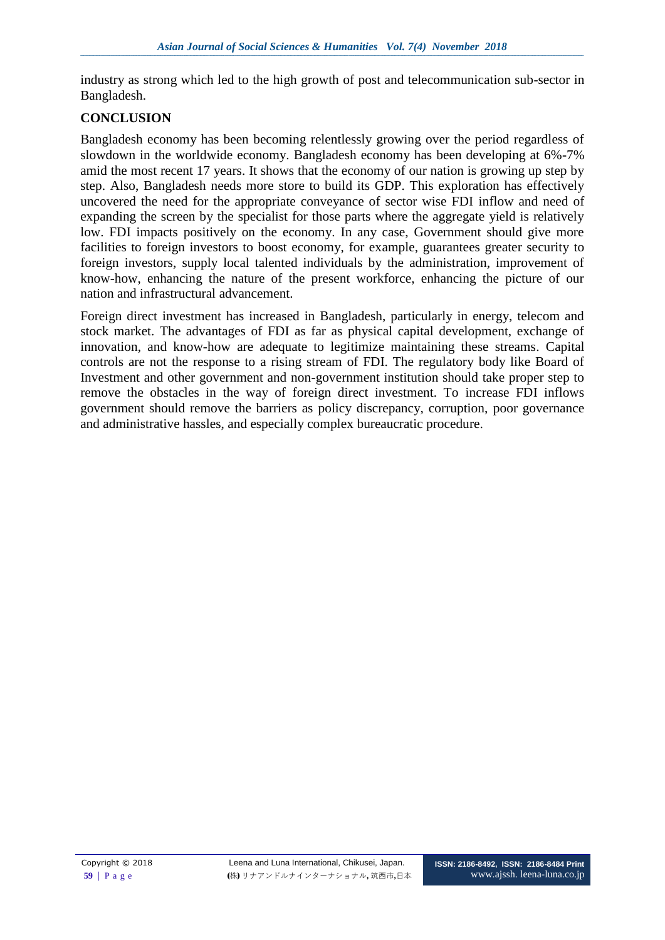industry as strong which led to the high growth of post and telecommunication sub-sector in Bangladesh.

### **CONCLUSION**

Bangladesh economy has been becoming relentlessly growing over the period regardless of slowdown in the worldwide economy. Bangladesh economy has been developing at 6%-7% amid the most recent 17 years. It shows that the economy of our nation is growing up step by step. Also, Bangladesh needs more store to build its GDP. This exploration has effectively uncovered the need for the appropriate conveyance of sector wise FDI inflow and need of expanding the screen by the specialist for those parts where the aggregate yield is relatively low. FDI impacts positively on the economy. In any case, Government should give more facilities to foreign investors to boost economy, for example, guarantees greater security to foreign investors, supply local talented individuals by the administration, improvement of know-how, enhancing the nature of the present workforce, enhancing the picture of our nation and infrastructural advancement.

Foreign direct investment has increased in Bangladesh, particularly in energy, telecom and stock market. The advantages of FDI as far as physical capital development, exchange of innovation, and know-how are adequate to legitimize maintaining these streams. Capital controls are not the response to a rising stream of FDI. The regulatory body like Board of Investment and other government and non-government institution should take proper step to remove the obstacles in the way of foreign direct investment. To increase FDI inflows government should remove the barriers as policy discrepancy, corruption, poor governance and administrative hassles, and especially complex bureaucratic procedure.